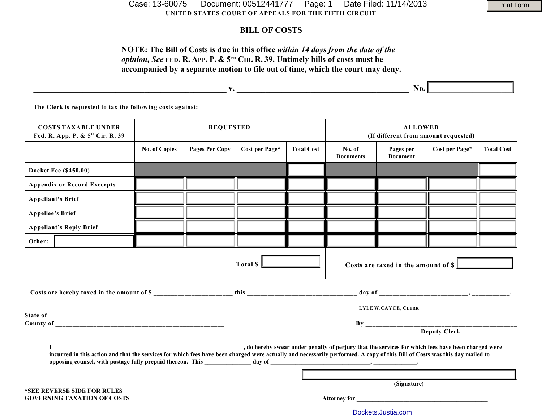**UNITED STATES COURT OF APPEALS FOR THE FIFTH CIRCUIT** Case: 13-60075 Document: 00512441777 Page: 1 Date Filed: 11/14/2013 Print Form

## **BILL OF COSTS**

# **NOTE: The Bill of Costs is due in this office** *within 14 days from the date of the opinion, See* FED. R. APP. P. &  $5^{th}$  CIR. R. 39. Untimely bills of costs must be **accompanied by a separate motion to file out of time, which the court may deny.**

|                                                                |                      |                       |                |                   | No.                                                    |                              |                |                   |
|----------------------------------------------------------------|----------------------|-----------------------|----------------|-------------------|--------------------------------------------------------|------------------------------|----------------|-------------------|
| The Clerk is requested to tax the following costs against:     |                      |                       |                |                   |                                                        |                              |                |                   |
| <b>COSTS TAXABLE UNDER</b><br>Fed. R. App. P. & 5th Cir. R. 39 | <b>REQUESTED</b>     |                       |                |                   | <b>ALLOWED</b><br>(If different from amount requested) |                              |                |                   |
|                                                                | <b>No. of Copies</b> | <b>Pages Per Copy</b> | Cost per Page* | <b>Total Cost</b> | No. of<br><b>Documents</b>                             | Pages per<br><b>Document</b> | Cost per Page* | <b>Total Cost</b> |
| <b>Docket Fee (\$450.00)</b>                                   |                      |                       |                |                   |                                                        |                              |                |                   |

**Appendix or Record Excerpts**

|          | <b>Appellant's Brief</b>           |  |  |                     |  |                                       |                     |  |  |  |  |  |
|----------|------------------------------------|--|--|---------------------|--|---------------------------------------|---------------------|--|--|--|--|--|
|          | <b>Appellee's Brief</b>            |  |  |                     |  |                                       |                     |  |  |  |  |  |
|          | <b>Appellant's Reply Brief</b>     |  |  |                     |  |                                       |                     |  |  |  |  |  |
| Other:   |                                    |  |  |                     |  |                                       |                     |  |  |  |  |  |
|          |                                    |  |  | Total \$            |  | Costs are taxed in the amount of $\S$ |                     |  |  |  |  |  |
|          |                                    |  |  |                     |  |                                       |                     |  |  |  |  |  |
|          |                                    |  |  |                     |  |                                       | LYLE W.CAYCE, CLERK |  |  |  |  |  |
| State of |                                    |  |  |                     |  |                                       |                     |  |  |  |  |  |
|          |                                    |  |  | <b>Deputy Clerk</b> |  |                                       |                     |  |  |  |  |  |
|          |                                    |  |  |                     |  |                                       |                     |  |  |  |  |  |
|          | *SEE REVERSE SIDE FOR RULES        |  |  | (Signature)         |  |                                       |                     |  |  |  |  |  |
|          | <b>GOVERNING TAXATION OF COSTS</b> |  |  |                     |  |                                       |                     |  |  |  |  |  |
|          |                                    |  |  | Dockets.Justia.com  |  |                                       |                     |  |  |  |  |  |